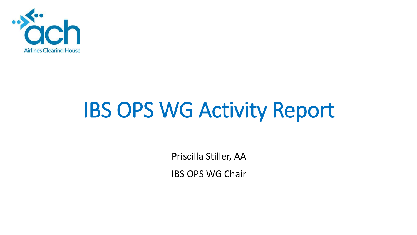

# IBS OPS WG Activity Report

Priscilla Stiller, AA

IBS OPS WG Chair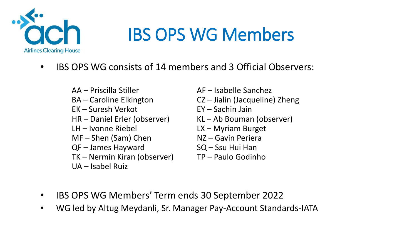

#### IBS OPS WG Members

- IBS OPS WG consists of 14 members and 3 Official Observers:
	- AA Priscilla Stiller AF Isabelle Sanchez BA – Caroline Elkington CZ – Jialin (Jacqueline) Zheng EK – Suresh Verkot EY – Sachin Jain HR – Daniel Erler (observer) KL – Ab Bouman (observer) LH – Ivonne Riebel LX – Myriam Burget  $MF - Shen$  (Sam) Chen  $NZ - Gavin$  Periera QF – James Hayward SQ – Ssu Hui Han TK – Nermin Kiran (observer) TP – Paulo Godinho UA – Isabel Ruiz
		-
		-
		-
		-
		-
		-
		-
		-

- IBS OPS WG Members' Term ends 30 September 2022
- WG led by Altug Meydanli, Sr. Manager Pay-Account Standards-IATA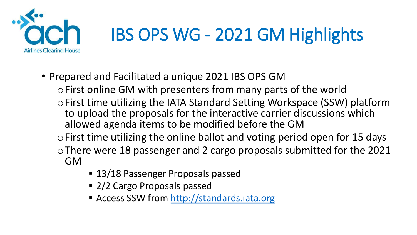

## IBS OPS WG - 2021 GM Highlights

- Prepared and Facilitated a unique 2021 IBS OPS GM
	- oFirst online GM with presenters from many parts of the world
	- oFirst time utilizing the IATA Standard Setting Workspace (SSW) platform to upload the proposals for the interactive carrier discussions which allowed agenda items to be modified before the GM
	- oFirst time utilizing the online ballot and voting period open for 15 days
	- oThere were 18 passenger and 2 cargo proposals submitted for the 2021 GM
		- 13/18 Passenger Proposals passed
		- 2/2 Cargo Proposals passed
		- Access SSW from [http://standards.iata.org](http://standards.iata.org/)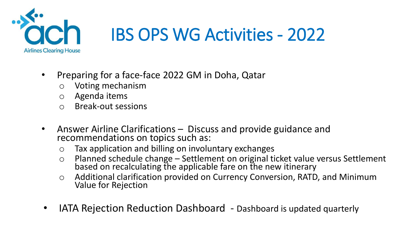

- Preparing for a face-face 2022 GM in Doha, Qatar
	- o Voting mechanism
	- o Agenda items
	- o Break-out sessions
- Answer Airline Clarifications Discuss and provide guidance and recommendations on topics such as:
	- o Tax application and billing on involuntary exchanges
	- <sup>o</sup> Planned schedule change Settlement on original ticket value versus Settlement based on recalculating the applicable fare on the new itinerary
	- o Additional clarification provided on Currency Conversion, RATD, and Minimum Value for Rejection
- IATA Rejection Reduction Dashboard Dashboard is updated quarterly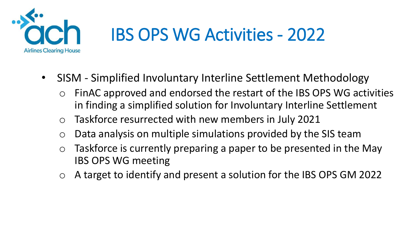

- SISM Simplified Involuntary Interline Settlement Methodology
	- FinAC approved and endorsed the restart of the IBS OPS WG activities in finding a simplified solution for Involuntary Interline Settlement
	- o Taskforce resurrected with new members in July 2021
	- o Data analysis on multiple simulations provided by the SIS team
	- $\circ$  Taskforce is currently preparing a paper to be presented in the May IBS OPS WG meeting
	- A target to identify and present a solution for the IBS OPS GM 2022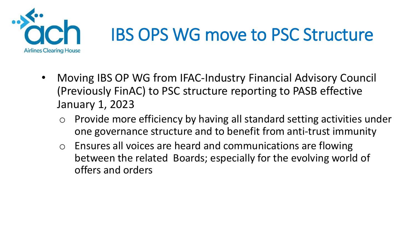

#### IBS OPS WG move to PSC Structure

- Moving IBS OP WG from IFAC-Industry Financial Advisory Council (Previously FinAC) to PSC structure reporting to PASB effective January 1, 2023
	- Provide more efficiency by having all standard setting activities under one governance structure and to benefit from anti-trust immunity
	- o Ensures all voices are heard and communications are flowing between the related Boards; especially for the evolving world of offers and orders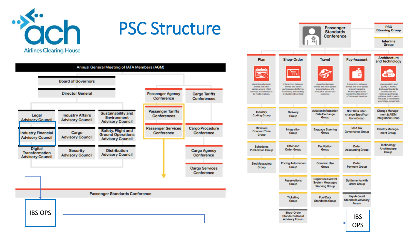

#### PSC Structure